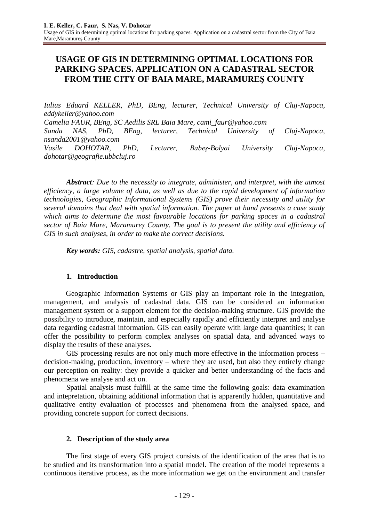# **USAGE OF GIS IN DETERMINING OPTIMAL LOCATIONS FOR PARKING SPACES. APPLICATION ON A CADASTRAL SECTOR FROM THE CITY OF BAIA MARE, MARAMUREŞ COUNTY**

*Iulius Eduard KELLER, PhD, BEng, lecturer, Technical University of Cluj-Napoca, eddykeller@yahoo.com Camelia FAUR, BEng, SC Aedilis SRL Baia Mare, cami\_faur@yahoo.com Sanda NAS*, *PhD, BEng, lecturer, Technical University of Cluj-Napoca, nsanda2001@yahoo.com Vasile DOHOTAR, PhD, Lecturer, Babeş-Bolyai University Cluj-Napoca, [dohotar@geografie.ubbcluj.ro](mailto:dohotar@geografie.ubbcluj.ro)*

*Abstract: Due to the necessity to integrate, administer, and interpret, with the utmost efficiency, a large volume of data, as well as due to the rapid development of information technologies, Geographic Informational Systems (GIS) prove their necessity and utility for several domains that deal with spatial information. The paper at hand presents a case study which aims to determine the most favourable locations for parking spaces in a cadastral sector of Baia Mare, Maramureş County. The goal is to present the utility and efficiency of GIS in such analyses, in order to make the correct decisions.*

*Key words: GIS, cadastre, spatial analysis, spatial data.*

# **1. Introduction**

Geographic Information Systems or GIS play an important role in the integration, management, and analysis of cadastral data. GIS can be considered an information management system or a support element for the decision-making structure. GIS provide the possibility to introduce, maintain, and especially rapidly and efficiently interpret and analyse data regarding cadastral information. GIS can easily operate with large data quantities; it can offer the possibility to perform complex analyses on spatial data, and advanced ways to display the results of these analyses.

GIS processing results are not only much more effective in the information process – decision-making, production, inventory – where they are used, but also they entirely change our perception on reality: they provide a quicker and better understanding of the facts and phenomena we analyse and act on.

Spatial analysis must fulfill at the same time the following goals: data examination and intepretation, obtaining additional information that is apparently hidden, quantitative and qualitative entity evaluation of processes and phenomena from the analysed space, and providing concrete support for correct decisions.

# **2. Description of the study area**

The first stage of every GIS project consists of the identification of the area that is to be studied and its transformation into a spatial model. The creation of the model represents a continuous iterative process, as the more information we get on the environment and transfer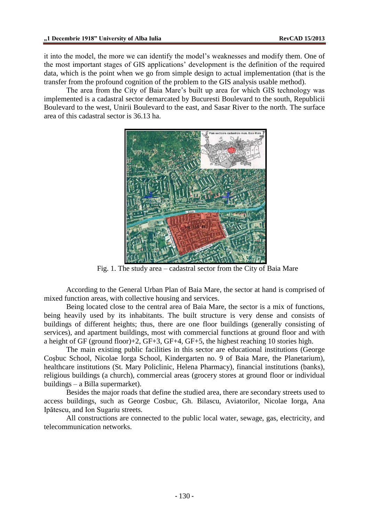it into the model, the more we can identify the model's weaknesses and modify them. One of the most important stages of GIS applications' development is the definition of the required data, which is the point when we go from simple design to actual implementation (that is the transfer from the profound cognition of the problem to the GIS analysis usable method).

The area from the City of Baia Mare's built up area for which GIS technology was implemented is a cadastral sector demarcated by Bucuresti Boulevard to the south, Republicii Boulevard to the west, Unirii Boulevard to the east, and Sasar River to the north. The surface area of this cadastral sector is 36.13 ha.



Fig. 1. The study area – cadastral sector from the City of Baia Mare

According to the General Urban Plan of Baia Mare, the sector at hand is comprised of mixed function areas, with collective housing and services.

Being located close to the central area of Baia Mare, the sector is a mix of functions, being heavily used by its inhabitants. The built structure is very dense and consists of buildings of different heights; thus, there are one floor buildings (generally consisting of services), and apartment buildings, most with commercial functions at ground floor and with a height of GF (ground floor)+2, GF+3, GF+4, GF+5, the highest reaching 10 stories high.

The main existing public facilities in this sector are educational institutions (George Coşbuc School, Nicolae Iorga School, Kindergarten no. 9 of Baia Mare, the Planetarium), healthcare institutions (St. Mary Policlinic, Helena Pharmacy), financial institutions (banks), religious buildings (a church), commercial areas (grocery stores at ground floor or individual buildings – a Billa supermarket).

Besides the major roads that define the studied area, there are secondary streets used to access buildings, such as George Cosbuc, Gh. Bilascu, Aviatorilor, Nicolae Iorga, Ana Ipătescu, and Ion Sugariu streets.

All constructions are connected to the public local water, sewage, gas, electricity, and telecommunication networks.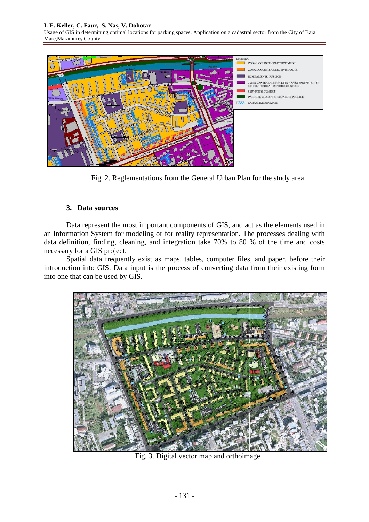#### **I. E. Keller, C. Faur, S. Nas, V. Dohotar**

Usage of GIS in determining optimal locations for parking spaces. Application on a cadastral sector from the City of Baia Mare,Maramureş County



Fig. 2. Reglementations from the General Urban Plan for the study area

## **3. Data sources**

Data represent the most important components of GIS, and act as the elements used in an Information System for modeling or for reality representation. The processes dealing with data definition, finding, cleaning, and integration take 70% to 80 % of the time and costs necessary for a GIS project.

Spatial data frequently exist as maps, tables, computer files, and paper, before their introduction into GIS. Data input is the process of converting data from their existing form into one that can be used by GIS.



Fig. 3. Digital vector map and orthoimage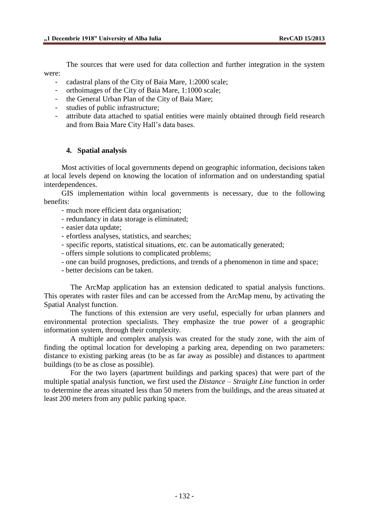The sources that were used for data collection and further integration in the system were:

- cadastral plans of the City of Baia Mare, 1:2000 scale;
- orthoimages of the City of Baia Mare, 1:1000 scale;
- the General Urban Plan of the City of Baia Mare;
- studies of public infrastructure;
- attribute data attached to spatial entities were mainly obtained through field research and from Baia Mare City Hall's data bases.

# **4. Spatial analysis**

Most activities of local governments depend on geographic information, decisions taken at local levels depend on knowing the location of information and on understanding spatial interdependences.

GIS implementation within local governments is necessary, due to the following benefits:

- much more efficient data organisation;
- redundancy in data storage is eliminated;
- easier data update;
- efortless analyses, statistics, and searches;
- specific reports, statistical situations, etc. can be automatically generated;
- offers simple solutions to complicated problems;
- one can build prognoses, predictions, and trends of a phenomenon in time and space;
- better decisions can be taken.

The ArcMap application has an extension dedicated to spatial analysis functions. This operates with raster files and can be accessed from the ArcMap menu, by activating the Spatial Analyst function.

The functions of this extension are very useful, especially for urban planners and environmental protection specialists. They emphasize the true power of a geographic information system, through their complexity.

A multiple and complex analysis was created for the study zone, with the aim of finding the optimal location for developing a parking area, depending on two parameters: distance to existing parking areas (to be as far away as possible) and distances to apartment buildings (to be as close as possible).

For the two layers (apartment buildings and parking spaces) that were part of the multiple spatial analysis function, we first used the *Distance – Straight Line* function in order to determine the areas situated less than 50 meters from the buildings, and the areas situated at least 200 meters from any public parking space.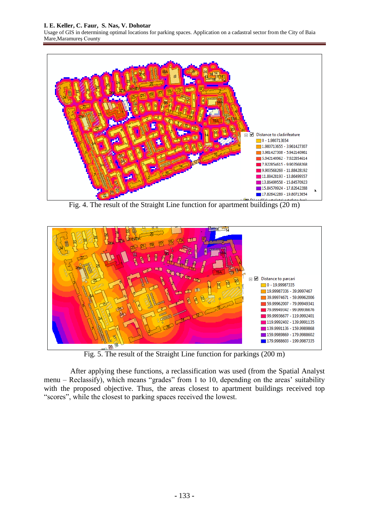

Fig. 4. The result of the Straight Line function for apartment buildings (20 m)



Fig. 5. The result of the Straight Line function for parkings (200 m)

After applying these functions, a reclassification was used (from the Spatial Analyst menu – Reclassify), which means "grades" from 1 to 10, depending on the areas' suitability with the proposed objective. Thus, the areas closest to apartment buildings received top "scores", while the closest to parking spaces received the lowest.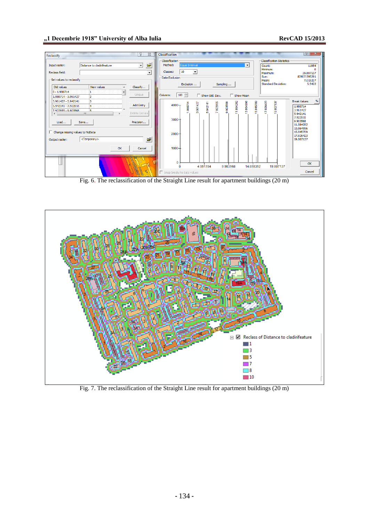### **"1 Decembrie 1918" University of Alba Iulia RevCAD 15/2013**



Fig. 6. The reclassification of the Straight Line result for apartment buildings (20 m)



Fig. 7. The reclassification of the Straight Line result for apartment buildings (20 m)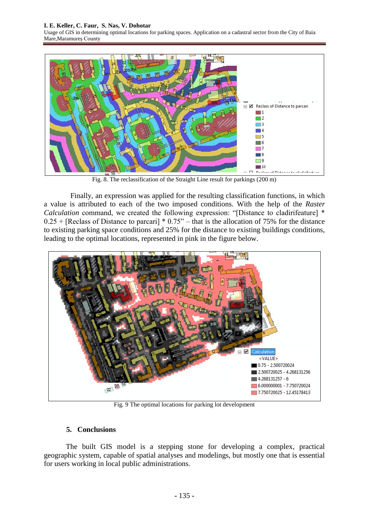#### **I. E. Keller, C. Faur, S. Nas, V. Dohotar**

Usage of GIS in determining optimal locations for parking spaces. Application on a cadastral sector from the City of Baia Mare,Maramureş County



Fig. 8. The reclassification of the Straight Line result for parkings (200 m)

Finally, an expression was applied for the resulting classification functions, in which a value is attributed to each of the two imposed conditions. With the help of the *Raster Calculation* command, we created the following expression: "[Distance to cladirifeature] \*  $0.25 +$  [Reclass of Distance to parcari]  $* 0.75$ " – that is the allocation of 75% for the distance to existing parking space conditions and 25% for the distance to existing buildings conditions, leading to the optimal locations, represented in pink in the figure below.



Fig. 9 The optimal locations for parking lot development

# **5. Conclusions**

The built GIS model is a stepping stone for developing a complex, practical geographic system, capable of spatial analyses and modelings, but mostly one that is essential for users working in local public administrations.